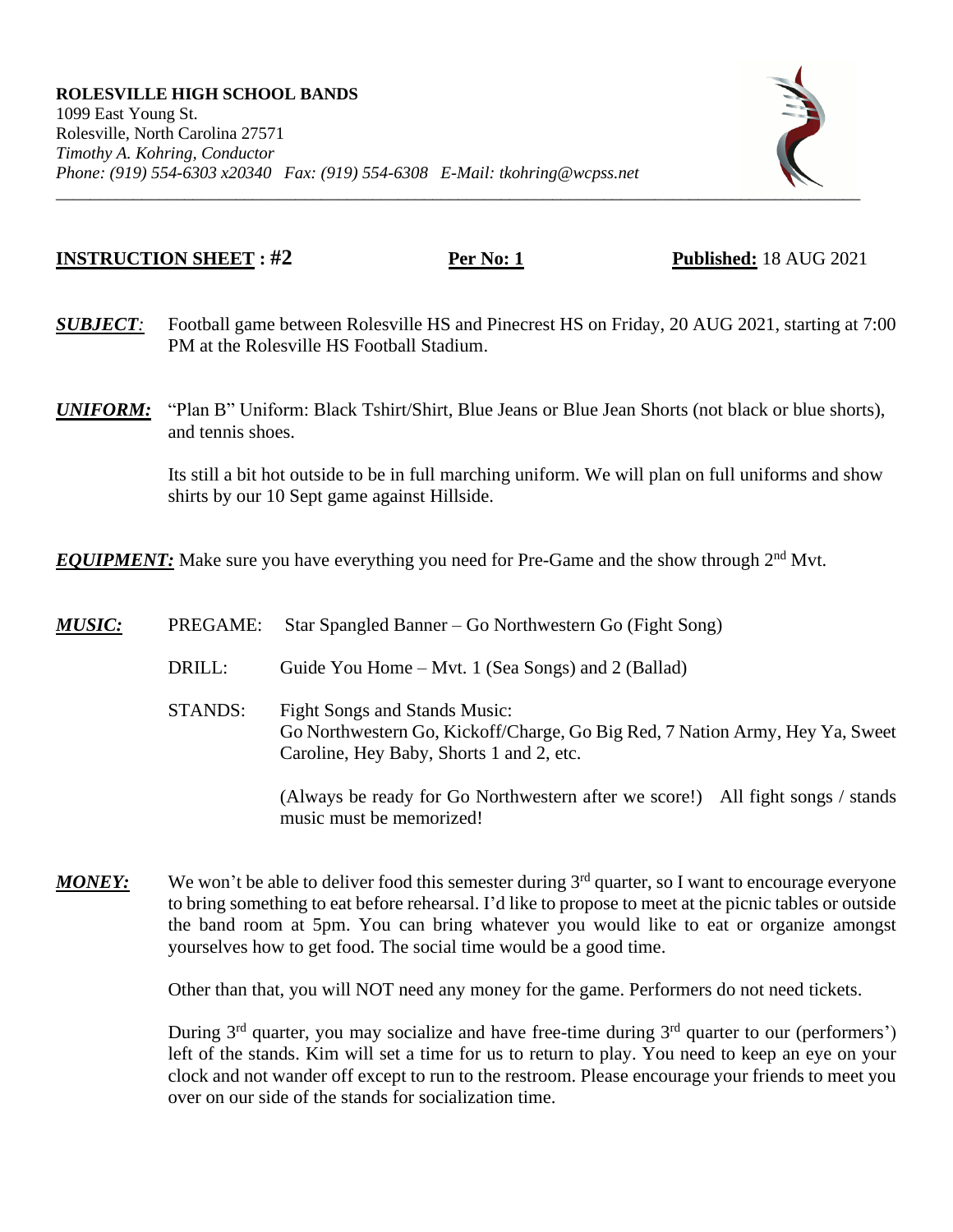

## **INSTRUCTION SHEET : #2 Per No: 1 Published:** 18 AUG 2021

- *SUBJECT:* Football game between Rolesville HS and Pinecrest HS on Friday, 20 AUG 2021, starting at 7:00 PM at the Rolesville HS Football Stadium.
- *UNIFORM:* "Plan B" Uniform: Black Tshirt/Shirt, Blue Jeans or Blue Jean Shorts (not black or blue shorts), and tennis shoes.

Its still a bit hot outside to be in full marching uniform. We will plan on full uniforms and show shirts by our 10 Sept game against Hillside.

**EQUIPMENT:** Make sure you have everything you need for Pre-Game and the show through 2<sup>nd</sup> Mvt.

- *MUSIC:* PREGAME: Star Spangled Banner Go Northwestern Go (Fight Song) DRILL: Guide You Home – Mvt. 1 (Sea Songs) and 2 (Ballad) STANDS: Fight Songs and Stands Music: Go Northwestern Go, Kickoff/Charge, Go Big Red, 7 Nation Army, Hey Ya, Sweet Caroline, Hey Baby, Shorts 1 and 2, etc. (Always be ready for Go Northwestern after we score!) All fight songs / stands music must be memorized!
- *MONEY*: We won't be able to deliver food this semester during 3<sup>rd</sup> quarter, so I want to encourage everyone to bring something to eat before rehearsal. I'd like to propose to meet at the picnic tables or outside the band room at 5pm. You can bring whatever you would like to eat or organize amongst yourselves how to get food. The social time would be a good time.

Other than that, you will NOT need any money for the game. Performers do not need tickets.

During  $3<sup>rd</sup>$  quarter, you may socialize and have free-time during  $3<sup>rd</sup>$  quarter to our (performers') left of the stands. Kim will set a time for us to return to play. You need to keep an eye on your clock and not wander off except to run to the restroom. Please encourage your friends to meet you over on our side of the stands for socialization time.